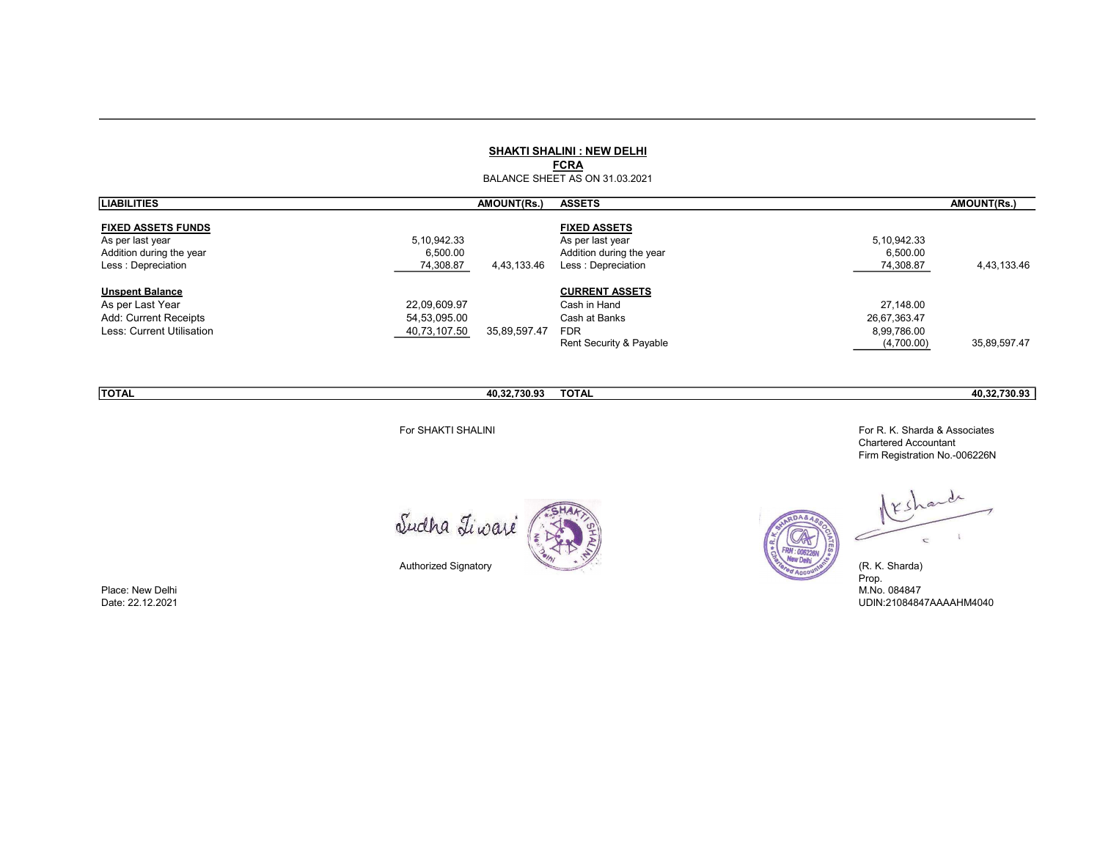#### SHAKTI SHALINI : NEW DELHI

FCRA

BALANCE SHEET AS ON 31.03.2021

| <b>LIABILITIES</b>                             | <b>AMOUNT(Rs.)</b>                   | <b>ASSETS</b>                                  |                       | AMOUNT(Rs.)  |
|------------------------------------------------|--------------------------------------|------------------------------------------------|-----------------------|--------------|
| <b>FIXED ASSETS FUNDS</b><br>As per last year  | 5, 10, 942. 33                       | <b>FIXED ASSETS</b><br>As per last year        | 5,10,942.33           |              |
| Addition during the year<br>Less: Depreciation | 6,500.00<br>74,308.87<br>4,43,133.46 | Addition during the year<br>Less: Depreciation | 6,500.00<br>74,308.87 | 4,43,133.46  |
|                                                |                                      |                                                |                       |              |
| <b>Unspent Balance</b>                         |                                      | <b>CURRENT ASSETS</b>                          |                       |              |
| As per Last Year                               | 22,09,609.97                         | Cash in Hand                                   | 27.148.00             |              |
| Add: Current Receipts                          | 54,53,095.00                         | Cash at Banks                                  | 26,67,363.47          |              |
| Less: Current Utilisation                      | 40,73,107.50<br>35,89,597.47         | <b>FDR</b>                                     | 8,99,786.00           |              |
|                                                |                                      | Rent Security & Payable                        | (4,700.00)            | 35,89,597.47 |

TOTAL 40,32,730.93 TOTAL 40,32,730.93

For SHAKTI SHALINI For R. K. Sharda & Associates Chartered Accountant Firm Registration No.-006226N

Sudha Tiwaré



Authorized Signatory

Place: New Delhi M.No. 084847

rande  $KS$  $\subset$  $\mathbbm{1}$  $\subset$ 

 $:00622$ 

(R. K. Sharda)<br>Prop.<br>M.No. 084847 Date: 22.12.2021 UDIN:21084847AAAAHM4040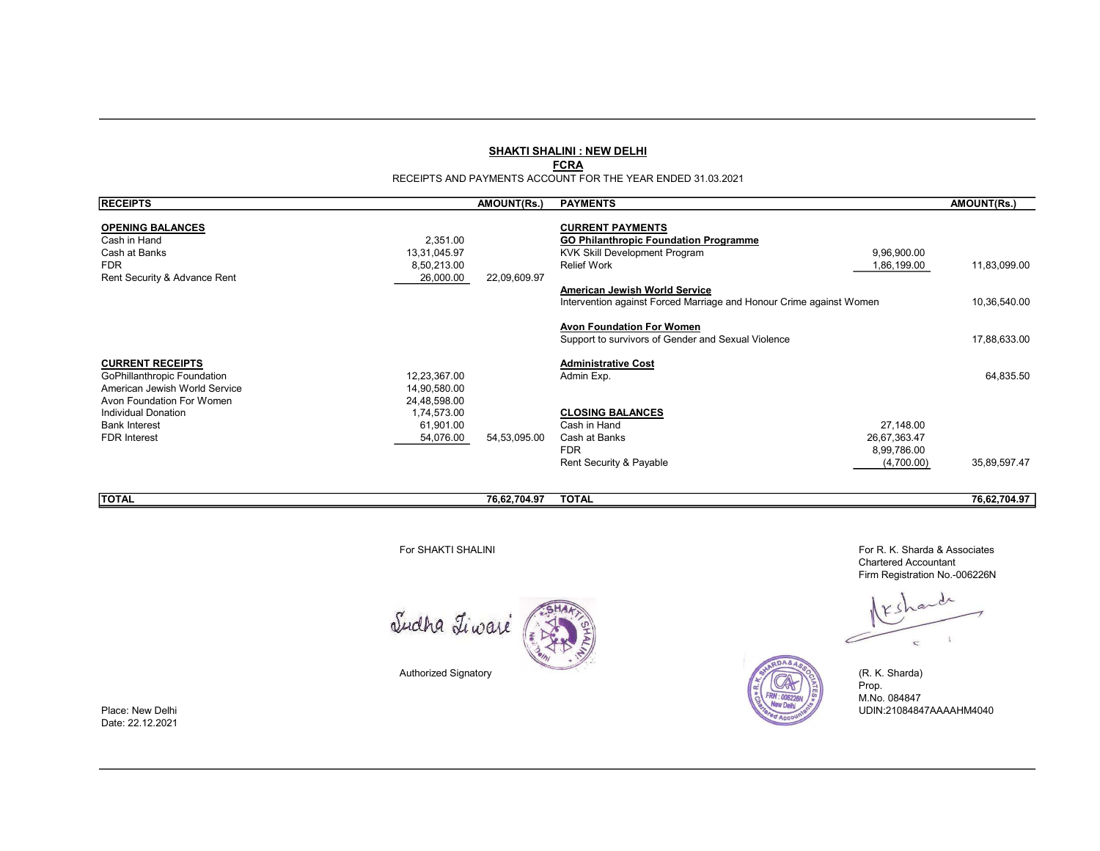### SHAKTI SHALINI : NEW DELHI

### **FCRA**

RECEIPTS AND PAYMENTS ACCOUNT FOR THE YEAR ENDED 31.03.2021

| <b>RECEIPTS</b>                                                                                        |                                                       | AMOUNT(Rs.)  | <b>PAYMENTS</b>                                                                                                                                                                                                                        |                                                        | <b>AMOUNT(Rs.)</b>           |
|--------------------------------------------------------------------------------------------------------|-------------------------------------------------------|--------------|----------------------------------------------------------------------------------------------------------------------------------------------------------------------------------------------------------------------------------------|--------------------------------------------------------|------------------------------|
| <b>OPENING BALANCES</b><br>Cash in Hand<br>Cash at Banks<br><b>FDR</b><br>Rent Security & Advance Rent | 2,351.00<br>13,31,045.97<br>8,50,213.00<br>26,000.00  | 22,09,609.97 | <b>CURRENT PAYMENTS</b><br><b>GO Philanthropic Foundation Programme</b><br>KVK Skill Development Program<br><b>Relief Work</b><br>American Jewish World Service<br>Intervention against Forced Marriage and Honour Crime against Women | 9,96,900.00<br>1,86,199.00                             | 11,83,099.00<br>10,36,540.00 |
|                                                                                                        |                                                       |              | <b>Avon Foundation For Women</b><br>Support to survivors of Gender and Sexual Violence                                                                                                                                                 |                                                        | 17,88,633.00                 |
| <b>CURRENT RECEIPTS</b><br>GoPhillanthropic Foundation<br>American Jewish World Service                | 12,23,367.00<br>14,90,580.00                          |              | <b>Administrative Cost</b><br>Admin Exp.                                                                                                                                                                                               |                                                        | 64,835.50                    |
| Avon Foundation For Women<br><b>Individual Donation</b><br><b>Bank Interest</b><br><b>FDR</b> Interest | 24,48,598.00<br>1,74,573.00<br>61,901.00<br>54,076.00 | 54,53,095.00 | <b>CLOSING BALANCES</b><br>Cash in Hand<br>Cash at Banks<br><b>FDR</b><br>Rent Security & Payable                                                                                                                                      | 27,148.00<br>26,67,363.47<br>8,99,786.00<br>(4,700.00) | 35,89,597.47                 |
| <b>TOTAL</b>                                                                                           |                                                       | 76,62,704.97 | <b>TOTAL</b>                                                                                                                                                                                                                           |                                                        | 76,62,704.97                 |

Sudha Tiwaré



For SHAKTI SHALINI For R. K. Sharda & Associates Chartered Accountant Firm Registration No.-006226N

 $\epsilon$  $\subset$ 

Prop. M.No. 084847 Place: New Delhi UDIN:21084847AAAAHM4040 UDIN:21084847AAAAHM4040

Date: 22.12.2021